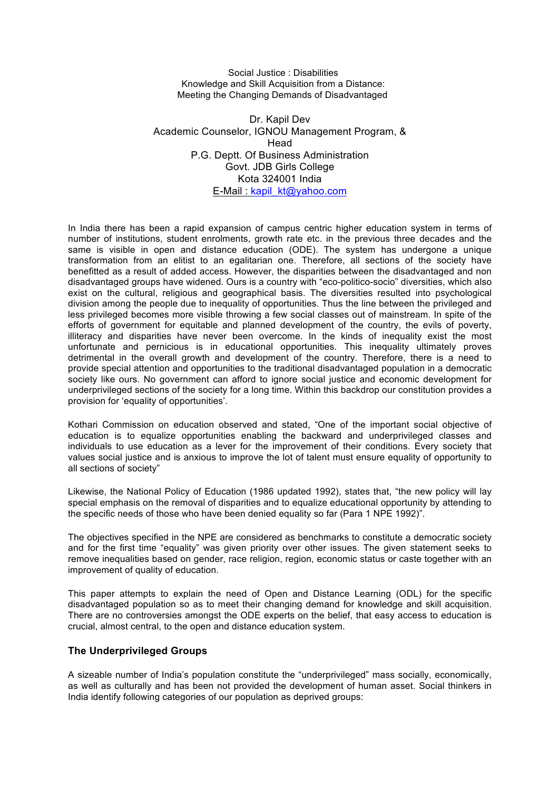Social Justice : Disabilities Knowledge and Skill Acquisition from a Distance: Meeting the Changing Demands of Disadvantaged

Dr. Kapil Dev Academic Counselor, IGNOU Management Program, & Head P.G. Deptt. Of Business Administration Govt. JDB Girls College Kota 324001 India E-Mail : kapil\_kt@yahoo.com

In India there has been a rapid expansion of campus centric higher education system in terms of number of institutions, student enrolments, growth rate etc. in the previous three decades and the same is visible in open and distance education (ODE). The system has undergone a unique transformation from an elitist to an egalitarian one. Therefore, all sections of the society have benefitted as a result of added access. However, the disparities between the disadvantaged and non disadvantaged groups have widened. Ours is a country with "eco-politico-socio" diversities, which also exist on the cultural, religious and geographical basis. The diversities resulted into psychological division among the people due to inequality of opportunities. Thus the line between the privileged and less privileged becomes more visible throwing a few social classes out of mainstream. In spite of the efforts of government for equitable and planned development of the country, the evils of poverty, illiteracy and disparities have never been overcome. In the kinds of inequality exist the most unfortunate and pernicious is in educational opportunities. This inequality ultimately proves detrimental in the overall growth and development of the country. Therefore, there is a need to provide special attention and opportunities to the traditional disadvantaged population in a democratic society like ours. No government can afford to ignore social justice and economic development for underprivileged sections of the society for a long time. Within this backdrop our constitution provides a provision for 'equality of opportunities'.

Kothari Commission on education observed and stated, "One of the important social objective of education is to equalize opportunities enabling the backward and underprivileged classes and individuals to use education as a lever for the improvement of their conditions. Every society that values social justice and is anxious to improve the lot of talent must ensure equality of opportunity to all sections of society"

Likewise, the National Policy of Education (1986 updated 1992), states that, "the new policy will lay special emphasis on the removal of disparities and to equalize educational opportunity by attending to the specific needs of those who have been denied equality so far (Para 1 NPE 1992)".

The objectives specified in the NPE are considered as benchmarks to constitute a democratic society and for the first time "equality" was given priority over other issues. The given statement seeks to remove inequalities based on gender, race religion, region, economic status or caste together with an improvement of quality of education.

This paper attempts to explain the need of Open and Distance Learning (ODL) for the specific disadvantaged population so as to meet their changing demand for knowledge and skill acquisition. There are no controversies amongst the ODE experts on the belief, that easy access to education is crucial, almost central, to the open and distance education system.

## **The Underprivileged Groups**

A sizeable number of India's population constitute the "underprivileged" mass socially, economically, as well as culturally and has been not provided the development of human asset. Social thinkers in India identify following categories of our population as deprived groups: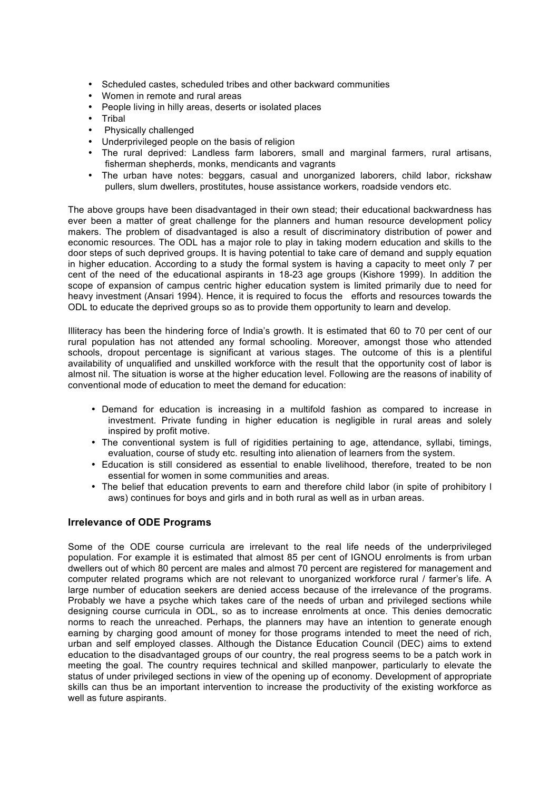- Scheduled castes, scheduled tribes and other backward communities
- Women in remote and rural areas
- People living in hilly areas, deserts or isolated places
- **Tribal**
- Physically challenged
- Underprivileged people on the basis of religion
- The rural deprived: Landless farm laborers, small and marginal farmers, rural artisans, fisherman shepherds, monks, mendicants and vagrants
- The urban have notes: beggars, casual and unorganized laborers, child labor, rickshaw pullers, slum dwellers, prostitutes, house assistance workers, roadside vendors etc.

The above groups have been disadvantaged in their own stead; their educational backwardness has ever been a matter of great challenge for the planners and human resource development policy makers. The problem of disadvantaged is also a result of discriminatory distribution of power and economic resources. The ODL has a major role to play in taking modern education and skills to the door steps of such deprived groups. It is having potential to take care of demand and supply equation in higher education. According to a study the formal system is having a capacity to meet only 7 per cent of the need of the educational aspirants in 18-23 age groups (Kishore 1999). In addition the scope of expansion of campus centric higher education system is limited primarily due to need for heavy investment (Ansari 1994). Hence, it is required to focus the efforts and resources towards the ODL to educate the deprived groups so as to provide them opportunity to learn and develop.

Illiteracy has been the hindering force of India's growth. It is estimated that 60 to 70 per cent of our rural population has not attended any formal schooling. Moreover, amongst those who attended schools, dropout percentage is significant at various stages. The outcome of this is a plentiful availability of unqualified and unskilled workforce with the result that the opportunity cost of labor is almost nil. The situation is worse at the higher education level. Following are the reasons of inability of conventional mode of education to meet the demand for education:

- Demand for education is increasing in a multifold fashion as compared to increase in investment. Private funding in higher education is negligible in rural areas and solely inspired by profit motive.
- The conventional system is full of rigidities pertaining to age, attendance, syllabi, timings, evaluation, course of study etc. resulting into alienation of learners from the system.
- Education is still considered as essential to enable livelihood, therefore, treated to be non essential for women in some communities and areas.
- The belief that education prevents to earn and therefore child labor (in spite of prohibitory l aws) continues for boys and girls and in both rural as well as in urban areas.

## **Irrelevance of ODE Programs**

Some of the ODE course curricula are irrelevant to the real life needs of the underprivileged population. For example it is estimated that almost 85 per cent of IGNOU enrolments is from urban dwellers out of which 80 percent are males and almost 70 percent are registered for management and computer related programs which are not relevant to unorganized workforce rural / farmer's life. A large number of education seekers are denied access because of the irrelevance of the programs. Probably we have a psyche which takes care of the needs of urban and privileged sections while designing course curricula in ODL, so as to increase enrolments at once. This denies democratic norms to reach the unreached. Perhaps, the planners may have an intention to generate enough earning by charging good amount of money for those programs intended to meet the need of rich, urban and self employed classes. Although the Distance Education Council (DEC) aims to extend education to the disadvantaged groups of our country, the real progress seems to be a patch work in meeting the goal. The country requires technical and skilled manpower, particularly to elevate the status of under privileged sections in view of the opening up of economy. Development of appropriate skills can thus be an important intervention to increase the productivity of the existing workforce as well as future aspirants.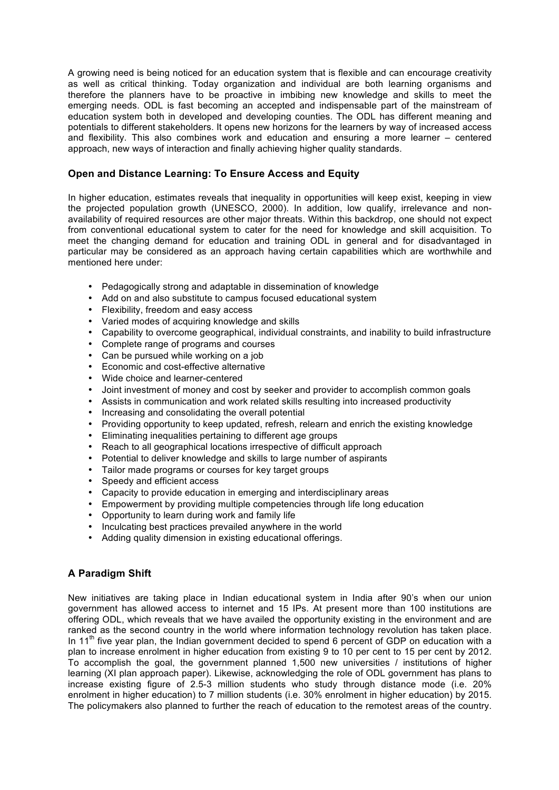A growing need is being noticed for an education system that is flexible and can encourage creativity as well as critical thinking. Today organization and individual are both learning organisms and therefore the planners have to be proactive in imbibing new knowledge and skills to meet the emerging needs. ODL is fast becoming an accepted and indispensable part of the mainstream of education system both in developed and developing counties. The ODL has different meaning and potentials to different stakeholders. It opens new horizons for the learners by way of increased access and flexibility. This also combines work and education and ensuring a more learner – centered approach, new ways of interaction and finally achieving higher quality standards.

## **Open and Distance Learning: To Ensure Access and Equity**

In higher education, estimates reveals that inequality in opportunities will keep exist, keeping in view the projected population growth (UNESCO, 2000). In addition, low qualify, irrelevance and nonavailability of required resources are other major threats. Within this backdrop, one should not expect from conventional educational system to cater for the need for knowledge and skill acquisition. To meet the changing demand for education and training ODL in general and for disadvantaged in particular may be considered as an approach having certain capabilities which are worthwhile and mentioned here under:

- Pedagogically strong and adaptable in dissemination of knowledge
- Add on and also substitute to campus focused educational system
- Flexibility, freedom and easy access
- Varied modes of acquiring knowledge and skills
- Capability to overcome geographical, individual constraints, and inability to build infrastructure
- Complete range of programs and courses
- Can be pursued while working on a job
- Economic and cost-effective alternative
- Wide choice and learner-centered
- Joint investment of money and cost by seeker and provider to accomplish common goals
- Assists in communication and work related skills resulting into increased productivity
- Increasing and consolidating the overall potential
- Providing opportunity to keep updated, refresh, relearn and enrich the existing knowledge
- Eliminating inequalities pertaining to different age groups
- Reach to all geographical locations irrespective of difficult approach
- Potential to deliver knowledge and skills to large number of aspirants
- Tailor made programs or courses for key target groups
- Speedy and efficient access
- Capacity to provide education in emerging and interdisciplinary areas
- Empowerment by providing multiple competencies through life long education
- Opportunity to learn during work and family life
- Inculcating best practices prevailed anywhere in the world
- Adding quality dimension in existing educational offerings.

## **A Paradigm Shift**

New initiatives are taking place in Indian educational system in India after 90's when our union government has allowed access to internet and 15 IPs. At present more than 100 institutions are offering ODL, which reveals that we have availed the opportunity existing in the environment and are ranked as the second country in the world where information technology revolution has taken place. In  $11<sup>th</sup>$  five year plan, the Indian government decided to spend 6 percent of GDP on education with a plan to increase enrolment in higher education from existing 9 to 10 per cent to 15 per cent by 2012. To accomplish the goal, the government planned 1,500 new universities / institutions of higher learning (XI plan approach paper). Likewise, acknowledging the role of ODL government has plans to increase existing figure of 2.5-3 million students who study through distance mode (i.e. 20% enrolment in higher education) to 7 million students (i.e. 30% enrolment in higher education) by 2015. The policymakers also planned to further the reach of education to the remotest areas of the country.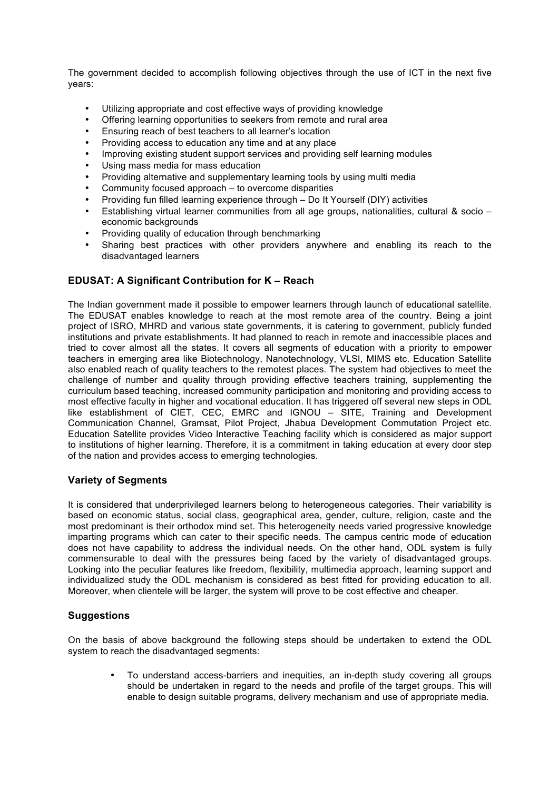The government decided to accomplish following objectives through the use of ICT in the next five years:

- Utilizing appropriate and cost effective ways of providing knowledge
- Offering learning opportunities to seekers from remote and rural area
- Ensuring reach of best teachers to all learner's location
- Providing access to education any time and at any place
- Improving existing student support services and providing self learning modules
- Using mass media for mass education
- Providing alternative and supplementary learning tools by using multi media
- Community focused approach to overcome disparities
- Providing fun filled learning experience through Do It Yourself (DIY) activities
- Establishing virtual learner communities from all age groups, nationalities, cultural & socio economic backgrounds
- Providing quality of education through benchmarking
- Sharing best practices with other providers anywhere and enabling its reach to the disadvantaged learners

## **EDUSAT: A Significant Contribution for K – Reach**

The Indian government made it possible to empower learners through launch of educational satellite. The EDUSAT enables knowledge to reach at the most remote area of the country. Being a joint project of ISRO, MHRD and various state governments, it is catering to government, publicly funded institutions and private establishments. It had planned to reach in remote and inaccessible places and tried to cover almost all the states. It covers all segments of education with a priority to empower teachers in emerging area like Biotechnology, Nanotechnology, VLSI, MIMS etc. Education Satellite also enabled reach of quality teachers to the remotest places. The system had objectives to meet the challenge of number and quality through providing effective teachers training, supplementing the curriculum based teaching, increased community participation and monitoring and providing access to most effective faculty in higher and vocational education. It has triggered off several new steps in ODL like establishment of CIET, CEC, EMRC and IGNOU – SITE, Training and Development Communication Channel, Gramsat, Pilot Project, Jhabua Development Commutation Project etc. Education Satellite provides Video Interactive Teaching facility which is considered as major support to institutions of higher learning. Therefore, it is a commitment in taking education at every door step of the nation and provides access to emerging technologies.

## **Variety of Segments**

It is considered that underprivileged learners belong to heterogeneous categories. Their variability is based on economic status, social class, geographical area, gender, culture, religion, caste and the most predominant is their orthodox mind set. This heterogeneity needs varied progressive knowledge imparting programs which can cater to their specific needs. The campus centric mode of education does not have capability to address the individual needs. On the other hand, ODL system is fully commensurable to deal with the pressures being faced by the variety of disadvantaged groups. Looking into the peculiar features like freedom, flexibility, multimedia approach, learning support and individualized study the ODL mechanism is considered as best fitted for providing education to all. Moreover, when clientele will be larger, the system will prove to be cost effective and cheaper.

# **Suggestions**

On the basis of above background the following steps should be undertaken to extend the ODL system to reach the disadvantaged segments:

• To understand access-barriers and inequities, an in-depth study covering all groups should be undertaken in regard to the needs and profile of the target groups. This will enable to design suitable programs, delivery mechanism and use of appropriate media.